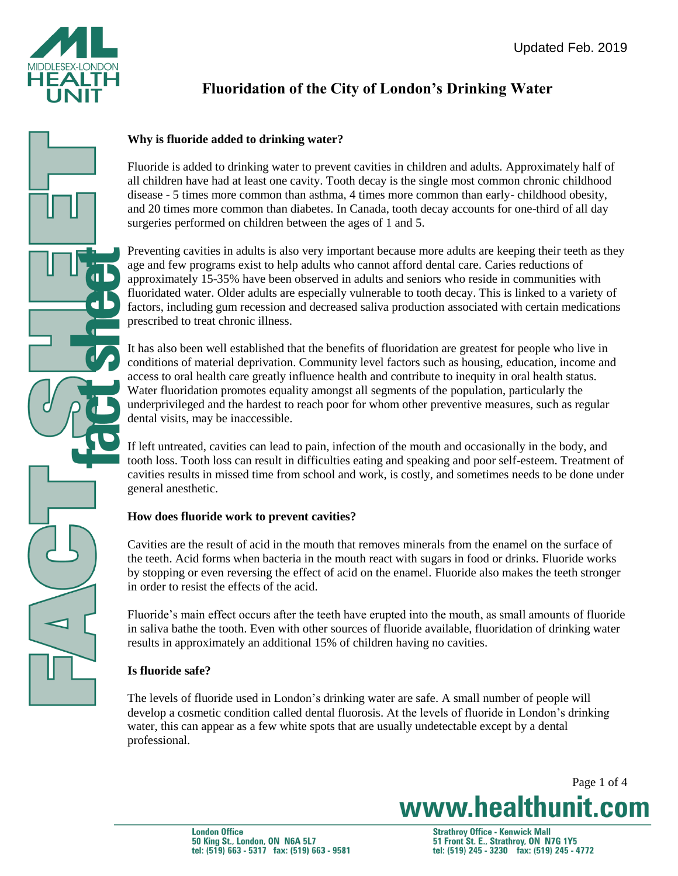

# **Fluoridation of the City of London's Drinking Water**

# **Why is fluoride added to drinking water?**

Fluoride is added to drinking water to prevent cavities in children and adults. Approximately half of all children have had at least one cavity. Tooth decay is the single most common chronic childhood disease - 5 times more common than asthma, 4 times more common than early- childhood obesity, and 20 times more common than diabetes. In Canada, tooth decay accounts for one-third of all day surgeries performed on children between the ages of 1 and 5.

Preventing cavities in adults is also very important because more adults are keeping their teeth as they age and few programs exist to help adults who cannot afford dental care. Caries reductions of approximately 15-35% have been observed in adults and seniors who reside in communities with fluoridated water. Older adults are especially vulnerable to tooth decay. This is linked to a variety of factors, including gum recession and decreased saliva production associated with certain medications prescribed to treat chronic illness.

It has also been well established that the benefits of fluoridation are greatest for people who live in conditions of material deprivation. Community level factors such as housing, education, income and access to oral health care greatly influence health and contribute to inequity in oral health status. Water fluoridation promotes equality amongst all segments of the population, particularly the underprivileged and the hardest to reach poor for whom other preventive measures, such as regular dental visits, may be inaccessible.

If left untreated, cavities can lead to pain, infection of the mouth and occasionally in the body, and tooth loss. Tooth loss can result in difficulties eating and speaking and poor self-esteem. Treatment of cavities results in missed time from school and work, is costly, and sometimes needs to be done under general anesthetic.

# **How does fluoride work to prevent cavities?**

Cavities are the result of acid in the mouth that removes minerals from the enamel on the surface of the teeth. Acid forms when bacteria in the mouth react with sugars in food or drinks. Fluoride works by stopping or even reversing the effect of acid on the enamel. Fluoride also makes the teeth stronger in order to resist the effects of the acid.

Fluoride's main effect occurs after the teeth have erupted into the mouth, as small amounts of fluoride in saliva bathe the tooth. Even with other sources of fluoride available, fluoridation of drinking water results in approximately an additional 15% of children having no cavities.

# **Is fluoride safe?**

The levels of fluoride used in London's drinking water are safe. A small number of people will develop a cosmetic condition called dental fluorosis. At the levels of fluoride in London's drinking water, this can appear as a few white spots that are usually undetectable except by a dental professional.

Page 1 of 4

www.healthunit.com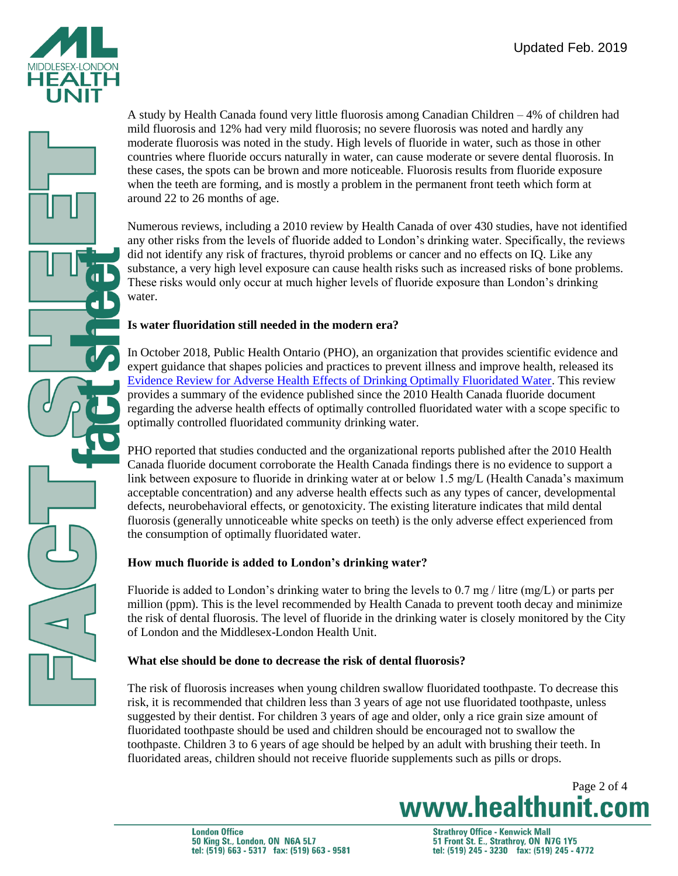



A study by Health Canada found very little fluorosis among Canadian Children – 4% of children had mild fluorosis and 12% had very mild fluorosis; no severe fluorosis was noted and hardly any moderate fluorosis was noted in the study. High levels of fluoride in water, such as those in other countries where fluoride occurs naturally in water, can cause moderate or severe dental fluorosis. In these cases, the spots can be brown and more noticeable. Fluorosis results from fluoride exposure when the teeth are forming, and is mostly a problem in the permanent front teeth which form at around 22 to 26 months of age.

Numerous reviews, including a 2010 review by Health Canada of over 430 studies, have not identified any other risks from the levels of fluoride added to London's drinking water. Specifically, the reviews did not identify any risk of fractures, thyroid problems or cancer and no effects on IQ. Like any substance, a very high level exposure can cause health risks such as increased risks of bone problems. These risks would only occur at much higher levels of fluoride exposure than London's drinking water.

### **Is water fluoridation still needed in the modern era?**

In October 2018, Public Health Ontario (PHO), an organization that provides scientific evidence and expert guidance that shapes policies and practices to prevent illness and improve health, released its [Evidence Review for Adverse Health Effects of Drinking Optimally Fluoridated Water.](https://www.publichealthontario.ca/en/eRepository/evidence-review-effects-drinking-optimally-fluoridated-water.pdf) This review provides a summary of the evidence published since the 2010 Health Canada fluoride document regarding the adverse health effects of optimally controlled fluoridated water with a scope specific to optimally controlled fluoridated community drinking water.

PHO reported that studies conducted and the organizational reports published after the 2010 Health Canada fluoride document corroborate the Health Canada findings there is no evidence to support a link between exposure to fluoride in drinking water at or below 1.5 mg/L (Health Canada's maximum acceptable concentration) and any adverse health effects such as any types of cancer, developmental defects, neurobehavioral effects, or genotoxicity. The existing literature indicates that mild dental fluorosis (generally unnoticeable white specks on teeth) is the only adverse effect experienced from the consumption of optimally fluoridated water.

# **How much fluoride is added to London's drinking water?**

Fluoride is added to London's drinking water to bring the levels to 0.7 mg / litre (mg/L) or parts per million (ppm). This is the level recommended by Health Canada to prevent tooth decay and minimize the risk of dental fluorosis. The level of fluoride in the drinking water is closely monitored by the City of London and the Middlesex-London Health Unit.

# **What else should be done to decrease the risk of dental fluorosis?**

The risk of fluorosis increases when young children swallow fluoridated toothpaste. To decrease this risk, it is recommended that children less than 3 years of age not use fluoridated toothpaste, unless suggested by their dentist. For children 3 years of age and older, only a rice grain size amount of fluoridated toothpaste should be used and children should be encouraged not to swallow the toothpaste. Children 3 to 6 years of age should be helped by an adult with brushing their teeth. In fluoridated areas, children should not receive fluoride supplements such as pills or drops.

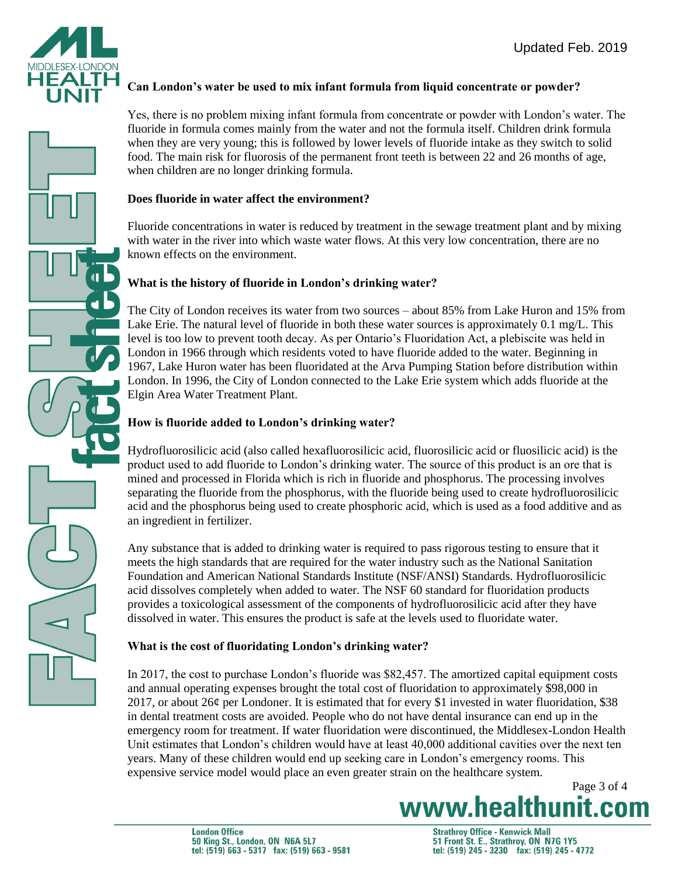

### **Can London's water be used to mix infant formula from liquid concentrate or powder?**

Yes, there is no problem mixing infant formula from concentrate or powder with London's water. The fluoride in formula comes mainly from the water and not the formula itself. Children drink formula when they are very young; this is followed by lower levels of fluoride intake as they switch to solid food. The main risk for fluorosis of the permanent front teeth is between 22 and 26 months of age, when children are no longer drinking formula.

#### **Does fluoride in water affect the environment?**

Fluoride concentrations in water is reduced by treatment in the sewage treatment plant and by mixing with water in the river into which waste water flows. At this very low concentration, there are no known effects on the environment.

### **What is the history of fluoride in London's drinking water?**

The City of London receives its water from two sources – about 85% from Lake Huron and 15% from Lake Erie. The natural level of fluoride in both these water sources is approximately 0.1 mg/L. This level is too low to prevent tooth decay. As per Ontario's Fluoridation Act, a plebiscite was held in London in 1966 through which residents voted to have fluoride added to the water. Beginning in 1967, Lake Huron water has been fluoridated at the Arva Pumping Station before distribution within London. In 1996, the City of London connected to the Lake Erie system which adds fluoride at the Elgin Area Water Treatment Plant.

## **How is fluoride added to London's drinking water?**

Hydrofluorosilicic acid (also called hexafluorosilicic acid, fluorosilicic acid or fluosilicic acid) is the product used to add fluoride to London's drinking water. The source of this product is an ore that is mined and processed in Florida which is rich in fluoride and phosphorus. The processing involves separating the fluoride from the phosphorus, with the fluoride being used to create hydrofluorosilicic acid and the phosphorus being used to create phosphoric acid, which is used as a food additive and as an ingredient in fertilizer.

Any substance that is added to drinking water is required to pass rigorous testing to ensure that it meets the high standards that are required for the water industry such as the National Sanitation Foundation and American National Standards Institute (NSF/ANSI) Standards. Hydrofluorosilicic acid dissolves completely when added to water. The NSF 60 standard for fluoridation products provides a toxicological assessment of the components of hydrofluorosilicic acid after they have dissolved in water. This ensures the product is safe at the levels used to fluoridate water.

### **What is the cost of fluoridating London's drinking water?**

In 2017, the cost to purchase London's fluoride was \$82,457. The amortized capital equipment costs and annual operating expenses brought the total cost of fluoridation to approximately \$98,000 in 2017, or about 26 $\varphi$  per Londoner. It is estimated that for every \$1 invested in water fluoridation, \$38 in dental treatment costs are avoided. People who do not have dental insurance can end up in the emergency room for treatment. If water fluoridation were discontinued, the Middlesex-London Health Unit estimates that London's children would have at least 40,000 additional cavities over the next ten years. Many of these children would end up seeking care in London's emergency rooms. This expensive service model would place an even greater strain on the healthcare system.